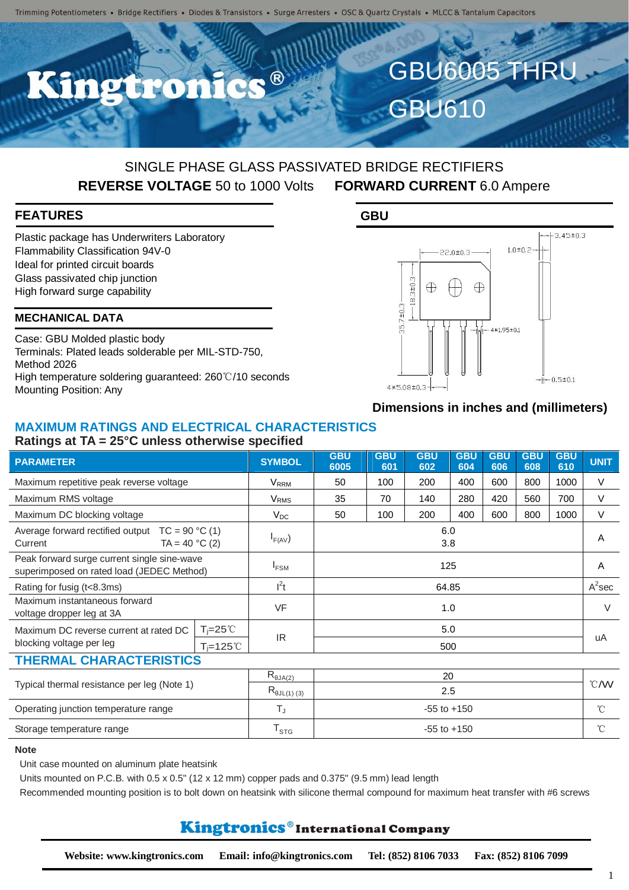

## SINGLE PHASE GLASS PASSIVATED BRIDGE RECTIFIERS **REVERSE VOLTAGE** 50 to 1000 Volts **FORWARD CURRENT** 6.0 Ampere

### **FEATURES**

Plastic package has Underwriters Laboratory Flammability Classification 94V-0 Ideal for printed circuit boards Glass passivated chip junction High forward surge capability

#### **MECHANICAL DATA**

Case: GBU Molded plastic body Terminals: Plated leads solderable per MIL-STD-750, Method 2026 High temperature soldering guaranteed: 260℃/10 seconds Mounting Position: Any

#### **GBU**



### **Dimensions in inches and (millimeters)**

## **MAXIMUM RATINGS AND ELECTRICAL CHARACTERISTICS**

#### **Ratings at TA = 25°C unless otherwise specified**

| <b>PARAMETER</b>                                                                         |                     | <b>SYMBOL</b>                        | <b>GBU</b><br>6005 | <b>GBU</b><br>601 | <b>GBU</b><br>602 | <b>GBU</b><br>604 | <b>GBU</b><br>606 | <b>GBU</b><br>608 | <b>GBU</b><br>610 | <b>UNIT</b>  |
|------------------------------------------------------------------------------------------|---------------------|--------------------------------------|--------------------|-------------------|-------------------|-------------------|-------------------|-------------------|-------------------|--------------|
| Maximum repetitive peak reverse voltage                                                  |                     | V <sub>RRM</sub>                     | 50                 | 100               | 200               | 400               | 600               | 800               | 1000              | $\vee$       |
| Maximum RMS voltage                                                                      |                     | V <sub>RMS</sub>                     | 35                 | 70                | 140               | 280               | 420               | 560               | 700               | $\vee$       |
| Maximum DC blocking voltage                                                              |                     | $V_{DC}$                             | 50                 | 100               | 200               | 400               | 600               | 800               | 1000              | $\vee$       |
| Average forward rectified output $TC = 90 °C(1)$<br>$TA = 40 °C (2)$<br>Current          |                     | $I_{F(AV)}$                          | 6.0<br>3.8         |                   |                   |                   |                   |                   |                   | A            |
| Peak forward surge current single sine-wave<br>superimposed on rated load (JEDEC Method) |                     | $I_{FSM}$                            | 125                |                   |                   |                   |                   |                   |                   | A            |
| Rating for fusig (t<8.3ms)                                                               |                     | $l^2t$                               | 64.85              |                   |                   |                   |                   |                   |                   | $A^2$ sec    |
| Maximum instantaneous forward<br>voltage dropper leg at 3A                               |                     | VF                                   | 1.0                |                   |                   |                   |                   |                   |                   | $\vee$       |
| Maximum DC reverse current at rated DC                                                   | $T_i = 25^{\circ}C$ |                                      | 5.0                |                   |                   |                   |                   |                   |                   |              |
| blocking voltage per leg<br>$T_i = 125^{\circ}C$                                         |                     | <b>IR</b>                            | 500                |                   |                   |                   |                   |                   |                   | uA           |
| <b>THERMAL CHARACTERISTICS</b>                                                           |                     |                                      |                    |                   |                   |                   |                   |                   |                   |              |
| Typical thermal resistance per leg (Note 1)                                              |                     | $\mathsf{R}_{\theta \mathsf{JA}(2)}$ | 20                 |                   |                   |                   |                   |                   |                   | °C/W         |
|                                                                                          |                     | $R_{\theta$ JL(1)(3)                 | 2.5                |                   |                   |                   |                   |                   |                   |              |
| Operating junction temperature range                                                     |                     | TJ.                                  | $-55$ to $+150$    |                   |                   |                   |                   |                   |                   | $^{\circ}C$  |
| Storage temperature range                                                                |                     | $T_{STG}$                            | $-55$ to $+150$    |                   |                   |                   |                   |                   |                   | $^{\circ}$ C |

#### **Note**

Unit case mounted on aluminum plate heatsink

Units mounted on P.C.B. with  $0.5 \times 0.5$ " (12  $\times$  12 mm) copper pads and  $0.375$ " (9.5 mm) lead length

Recommended mounting position is to bolt down on heatsink with silicone thermal compound for maximum heat transfer with #6 screws

## Kingtronics®International Company

1